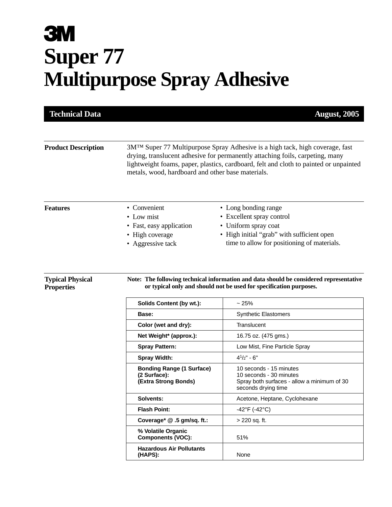# **3M Super 77 Multipurpose Spray Adhesive**

| <b>Technical Data</b>                        |                                                                                                                                                                                                                                                                                                                         | <b>August, 2005</b>                                                                                                                                                    |
|----------------------------------------------|-------------------------------------------------------------------------------------------------------------------------------------------------------------------------------------------------------------------------------------------------------------------------------------------------------------------------|------------------------------------------------------------------------------------------------------------------------------------------------------------------------|
| <b>Product Description</b>                   | 3M <sup>™</sup> Super 77 Multipurpose Spray Adhesive is a high tack, high coverage, fast<br>drying, translucent adhesive for permanently attaching foils, carpeting, many<br>lightweight foams, paper, plastics, cardboard, felt and cloth to painted or unpainted<br>metals, wood, hardboard and other base materials. |                                                                                                                                                                        |
| <b>Features</b>                              | • Convenient<br>• Low mist<br>• Fast, easy application<br>• High coverage<br>• Aggressive tack                                                                                                                                                                                                                          | • Long bonding range<br>• Excellent spray control<br>• Uniform spray coat<br>• High initial "grab" with sufficient open<br>time to allow for positioning of materials. |
| <b>Typical Physical</b><br><b>Properties</b> | Note: The following technical information and data should be considered representative<br>or typical only and should not be used for specification purposes.                                                                                                                                                            |                                                                                                                                                                        |
|                                              | Solids Content (by wt.):                                                                                                                                                                                                                                                                                                | ~25%                                                                                                                                                                   |

| Solids Content (by wt.):                                                 | ~25%                                                                                                                     |
|--------------------------------------------------------------------------|--------------------------------------------------------------------------------------------------------------------------|
| Base:                                                                    | <b>Synthetic Elastomers</b>                                                                                              |
| Color (wet and dry):                                                     | Translucent                                                                                                              |
| Net Weight* (approx.):                                                   | 16.75 oz. (475 gms.)                                                                                                     |
| <b>Spray Pattern:</b>                                                    | Low Mist, Fine Particle Spray                                                                                            |
| <b>Spray Width:</b>                                                      | $4^{1}/2" - 6"$                                                                                                          |
| <b>Bonding Range (1 Surface)</b><br>(2 Surface):<br>(Extra Strong Bonds) | 10 seconds - 15 minutes<br>10 seconds - 30 minutes<br>Spray both surfaces - allow a minimum of 30<br>seconds drying time |
| Solvents:                                                                | Acetone, Heptane, Cyclohexane                                                                                            |
| <b>Flash Point:</b>                                                      | -42°F (-42°C)                                                                                                            |
| Coverage* $@.5$ gm/sq. ft.:                                              | > 220 sq. ft.                                                                                                            |
| % Volatile Organic<br><b>Components (VOC):</b>                           | 51%                                                                                                                      |
| <b>Hazardous Air Pollutants</b><br>(HAPS):                               | None                                                                                                                     |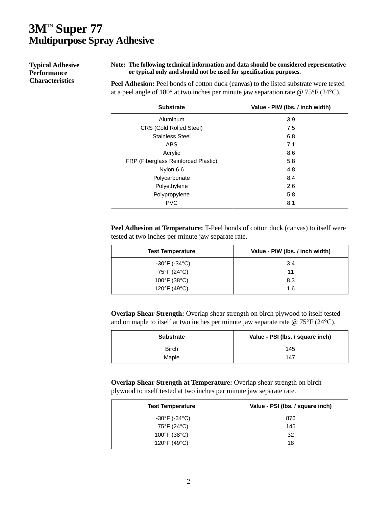## **3M**™ **Super 77 Multipurpose Spray Adhesive**

**Typical Adhesive Performance Characteristics**

#### **Note: The following technical information and data should be considered representative or typical only and should not be used for specification purposes.**

Peel Adhesion: Peel bonds of cotton duck (canvas) to the listed substrate were tested at a peel angle of 180° at two inches per minute jaw separation rate @ 75°F (24°C).

| <b>Substrate</b>                    | Value - PIW (Ibs. / inch width) |
|-------------------------------------|---------------------------------|
| Aluminum                            | 3.9                             |
| <b>CRS (Cold Rolled Steel)</b>      | 7.5                             |
| <b>Stainless Steel</b>              | 6.8                             |
| <b>ABS</b>                          | 7.1                             |
| Acrylic                             | 8.6                             |
| FRP (Fiberglass Reinforced Plastic) | 5.8                             |
| Nylon 6,6                           | 4.8                             |
| Polycarbonate                       | 8.4                             |
| Polyethylene                        | 2.6                             |
| Polypropylene                       | 5.8                             |
| <b>PVC</b>                          | 8.1                             |

**Peel Adhesion at Temperature:** T-Peel bonds of cotton duck (canvas) to itself were tested at two inches per minute jaw separate rate.

| <b>Test Temperature</b>           | Value - PIW (Ibs. / inch width) |
|-----------------------------------|---------------------------------|
| -30°F (-34°C)                     | 3.4                             |
| 75°F (24°C)                       | 11                              |
| $100^{\circ}$ F (38 $^{\circ}$ C) | 8.3                             |
| 120°F (49°C)                      | 1.6                             |

**Overlap Shear Strength:** Overlap shear strength on birch plywood to itself tested and on maple to itself at two inches per minute jaw separate rate @ 75°F (24°C).

| <b>Substrate</b> | Value - PSI (Ibs. / square inch) |
|------------------|----------------------------------|
| <b>Birch</b>     | 145                              |
| Maple            | 147                              |

**Overlap Shear Strength at Temperature:** Overlap shear strength on birch plywood to itself tested at two inches per minute jaw separate rate.

| <b>Test Temperature</b>           | Value - PSI (Ibs. / square inch) |
|-----------------------------------|----------------------------------|
| -30°F (-34°C)                     | 876                              |
| 75°F (24°C)                       | 145                              |
| $100^{\circ}$ F (38 $^{\circ}$ C) | -32                              |
| 120°F (49°C)                      | 18                               |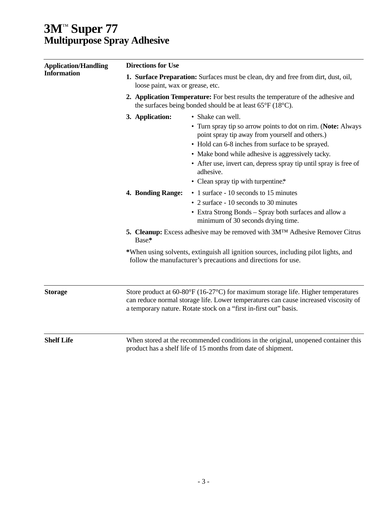## **3M**™ **Super 77 Multipurpose Spray Adhesive**

| <b>Application/Handling</b><br><b>Information</b> | <b>Directions for Use</b><br>1. Surface Preparation: Surfaces must be clean, dry and free from dirt, dust, oil,<br>loose paint, wax or grease, etc.<br>2. Application Temperature: For best results the temperature of the adhesive and<br>the surfaces being bonded should be at least $65^{\circ}F(18^{\circ}C)$ . |                                                                                                                                                                                                                                                             |                   |                                                                                                                                                                                                                                                                                                                                                                          |
|---------------------------------------------------|----------------------------------------------------------------------------------------------------------------------------------------------------------------------------------------------------------------------------------------------------------------------------------------------------------------------|-------------------------------------------------------------------------------------------------------------------------------------------------------------------------------------------------------------------------------------------------------------|-------------------|--------------------------------------------------------------------------------------------------------------------------------------------------------------------------------------------------------------------------------------------------------------------------------------------------------------------------------------------------------------------------|
|                                                   |                                                                                                                                                                                                                                                                                                                      |                                                                                                                                                                                                                                                             | 3. Application:   | • Shake can well.<br>• Turn spray tip so arrow points to dot on rim. (Note: Always<br>point spray tip away from yourself and others.)<br>• Hold can 6-8 inches from surface to be sprayed.<br>• Make bond while adhesive is aggressively tacky.<br>• After use, invert can, depress spray tip until spray is free of<br>adhesive.<br>• Clean spray tip with turpentine.* |
|                                                   |                                                                                                                                                                                                                                                                                                                      |                                                                                                                                                                                                                                                             | 4. Bonding Range: | • 1 surface - 10 seconds to 15 minutes<br>• 2 surface - 10 seconds to 30 minutes<br>• Extra Strong Bonds - Spray both surfaces and allow a<br>minimum of 30 seconds drying time.                                                                                                                                                                                         |
|                                                   | Base*                                                                                                                                                                                                                                                                                                                | <b>5. Cleanup:</b> Excess adhesive may be removed with 3M <sup>TM</sup> Adhesive Remover Citrus                                                                                                                                                             |                   |                                                                                                                                                                                                                                                                                                                                                                          |
|                                                   |                                                                                                                                                                                                                                                                                                                      | *When using solvents, extinguish all ignition sources, including pilot lights, and<br>follow the manufacturer's precautions and directions for use.                                                                                                         |                   |                                                                                                                                                                                                                                                                                                                                                                          |
|                                                   | <b>Storage</b>                                                                                                                                                                                                                                                                                                       | Store product at $60-80^{\circ}F(16-27^{\circ}C)$ for maximum storage life. Higher temperatures<br>can reduce normal storage life. Lower temperatures can cause increased viscosity of<br>a temporary nature. Rotate stock on a "first in-first out" basis. |                   |                                                                                                                                                                                                                                                                                                                                                                          |
|                                                   | <b>Shelf Life</b>                                                                                                                                                                                                                                                                                                    | When stored at the recommended conditions in the original, unopened container this<br>product has a shelf life of 15 months from date of shipment.                                                                                                          |                   |                                                                                                                                                                                                                                                                                                                                                                          |